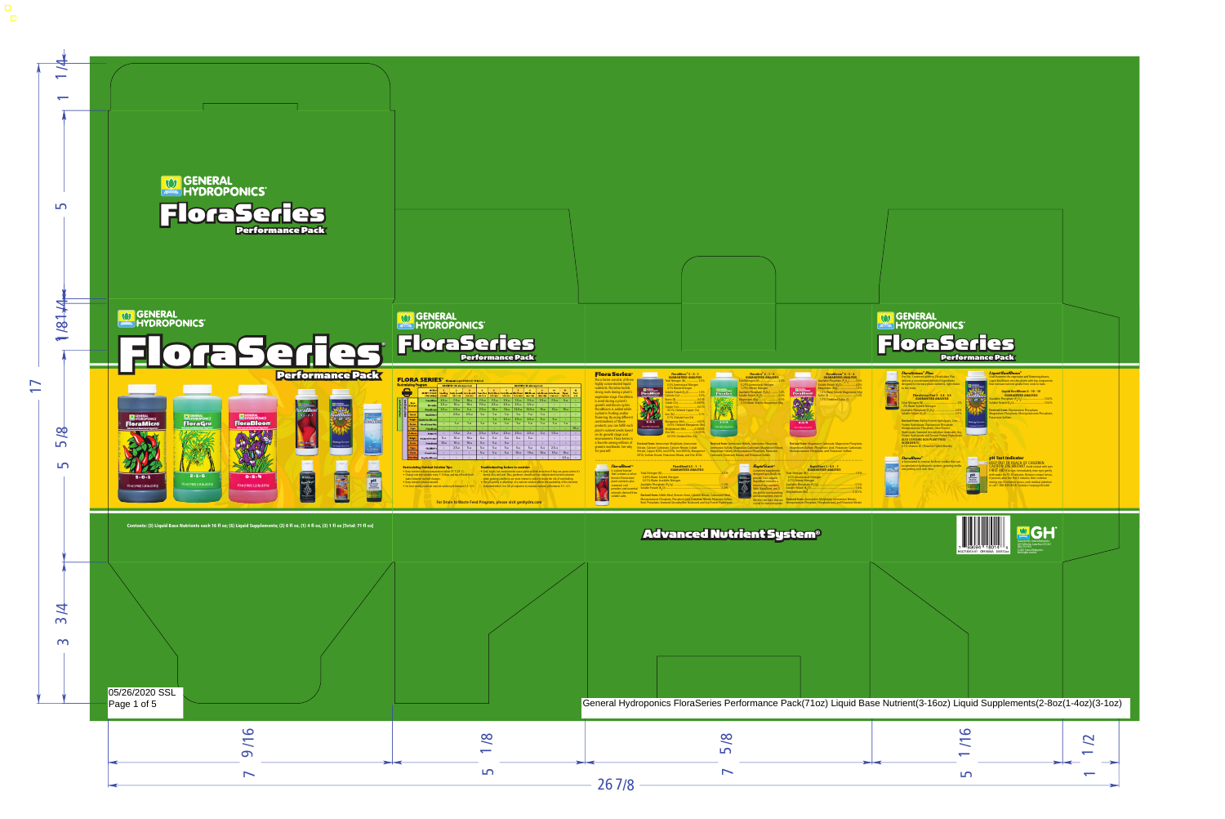

05/26/2020 SSL<br>Page 1 of 5

| S,<br>ents<br>.0%<br>.0%<br>iate,         |     |             |   |
|-------------------------------------------|-----|-------------|---|
| eyes<br>ntly<br>ises,<br>tion<br>ol       |     |             |   |
| $^{\circ}$<br>i<br>Li<br>L,<br>ics<br>407 |     |             |   |
|                                           |     |             |   |
|                                           |     |             |   |
|                                           | / A | $\sim$<br>١ | ١ |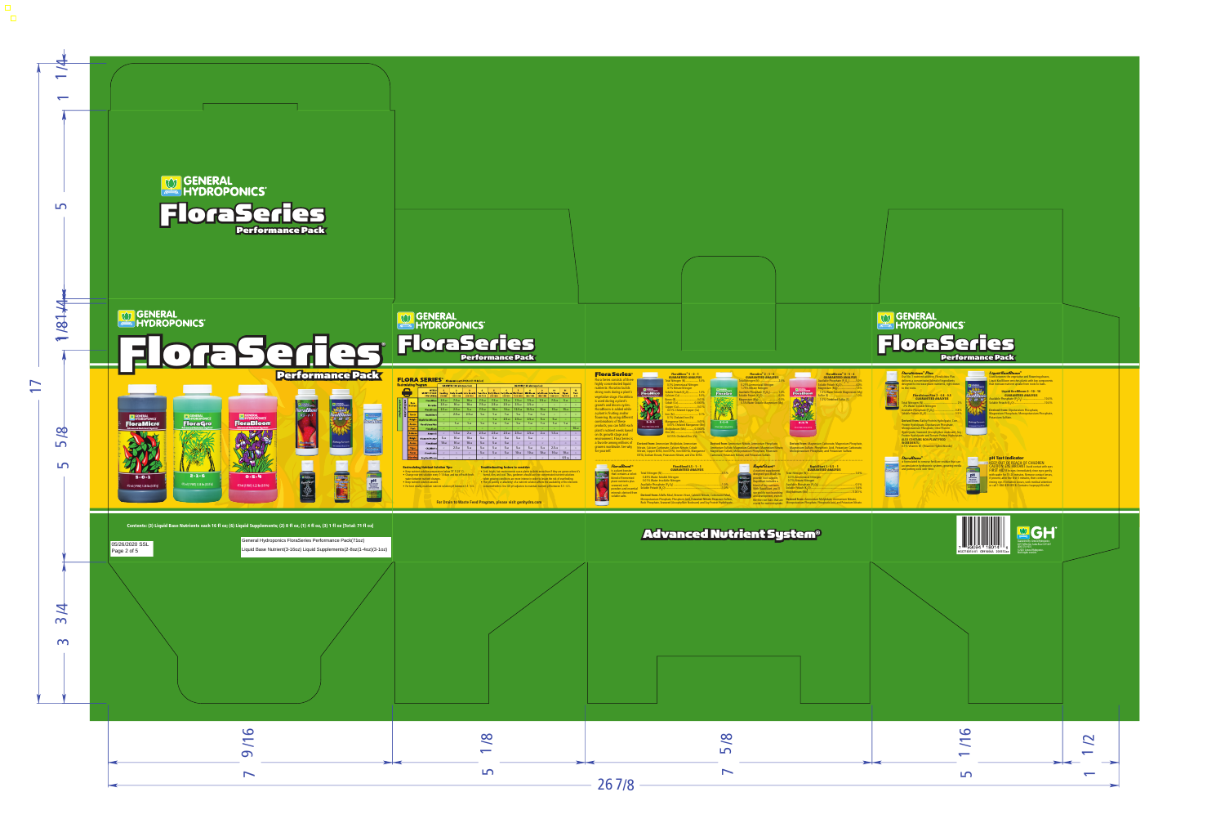



Contents: (3) Liquid Base Nutrients each 16 fl oz; (6) Liquid Supplements; (2) 8 fl oz, (1) 4 fl oz, (3) 1 fl oz [Total: 71 fl oz]

05/26/2020 SSL Page 2 of 5

General Hydroponics FloraSeries Performance Pack(71oz) Liquid Base Nutrient(3-16oz) Liquid Supplements(2-8oz(1-4oz)(3-1oz)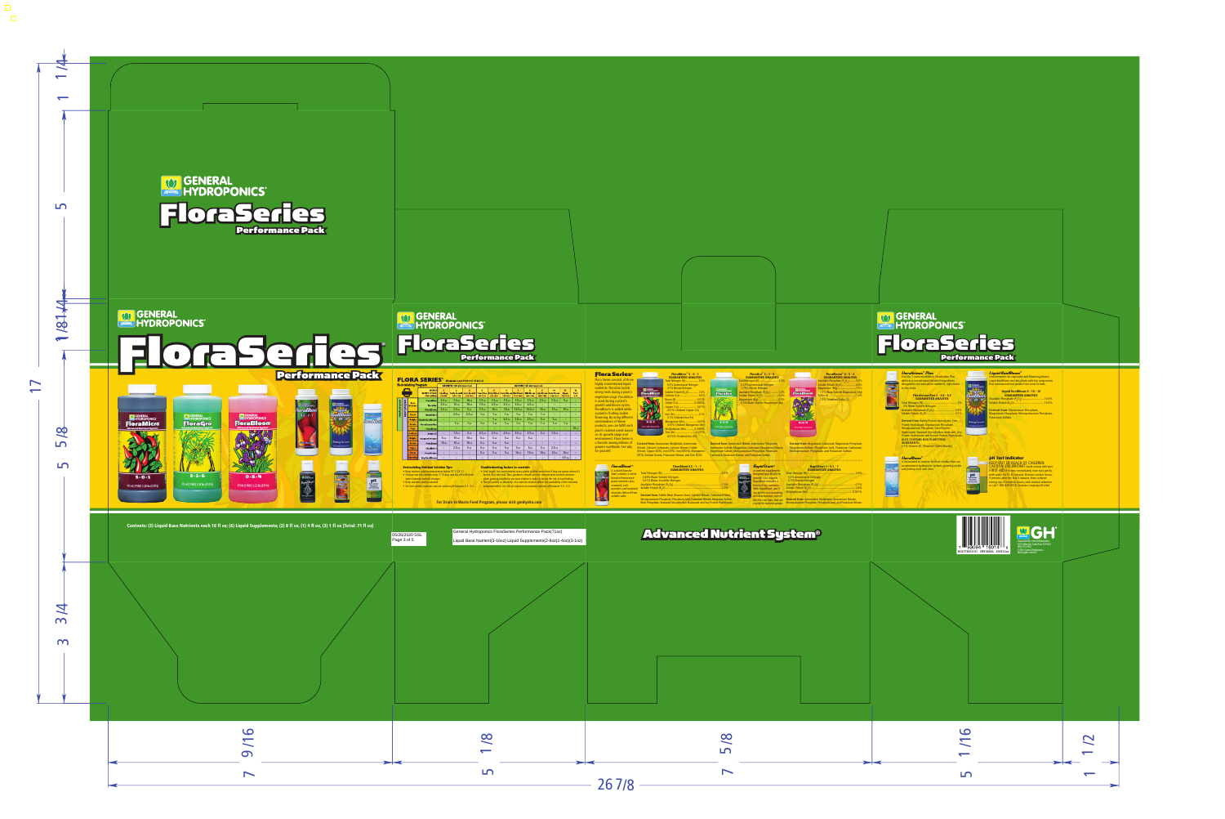## GENERAL<br>HYDROPONICS® FloraSeries Performance Pack

#### **FLORA SERIES<sup>®</sup> All amounts per 3.79 Liters (1 US Gallon)**

| <b>Recirculating Program</b> |         |                                | <b>GROWTH (18h photoperiod)</b>                     |                            |                                                    | <b>BLOOM</b> (12h photoperiod)      |                                    |                                                           |                       |                    |                                               |                              |                                      |                                |                                |
|------------------------------|---------|--------------------------------|-----------------------------------------------------|----------------------------|----------------------------------------------------|-------------------------------------|------------------------------------|-----------------------------------------------------------|-----------------------|--------------------|-----------------------------------------------|------------------------------|--------------------------------------|--------------------------------|--------------------------------|
|                              |         |                                | WEEK #<br><b>GROWTH STAGE:</b><br><b>PPM RANGE:</b> | <b>Seedling</b><br>350-400 | $\overline{2}$<br><b>Early Growth</b><br>1050-1350 | 3<br><b>Late Growth</b><br>950-1400 | A<br><b>Transition</b><br>900-1300 | s<br><b>Early Bloom Early Bloom Mid Bloom</b><br>950-1300 | G<br>950-1350         | 1000-1400          | $\mathbf{R}$<br><b>Mid Bloom</b><br>1000-1400 | 9<br>Late Bloom<br>1050-1400 | 10<br><b>Late Bloom</b><br>1000-1300 | 11<br><b>Ripen</b><br>750-1150 | 12<br><b>Flush</b><br>$0 - 50$ |
|                              |         |                                | <b>FloraMicro</b>                                   | 2.5 <sub>ml</sub>          | 7.5 <sub>ml</sub>                                  | 10 <sub>ml</sub>                    | 7.5 <sub>ml</sub>                  | 7.5 <sub>ml</sub>                                         | 7.5 <sub>ml</sub>     | 7.5 <sub>ml</sub>  | 7.5 <sub>ml</sub>                             | 7.5 <sub>ml</sub>            | 7.5 <sub>ml</sub>                    | 5 <sub>ml</sub>                | $\overline{ }$                 |
|                              | program | <b>Base</b><br><b>Nutrient</b> | <b>FloraGro</b>                                     | 2.5 <sub>ml</sub>          | 10 <sub>ml</sub>                                   | 10 <sub>ml</sub>                    | 7.5 <sub>ml</sub>                  | 2.5 <sub>ml</sub>                                         | 2.5 <sub>ml</sub>     | 2.5 <sub>ml</sub>  | 2.5 <sub>ml</sub>                             | $\sim$                       | $\tilde{\phantom{a}}$                | $\sim$                         |                                |
|                              |         |                                | <b>FloraBloom</b>                                   | 2.5 <sub>ml</sub>          | 2.5 <sub>ml</sub>                                  | 5 <sub>ml</sub>                     | 7.5 <sub>ml</sub>                  | 10 <sub>ml</sub>                                          | 10 <sub>ml</sub>      | 12.5 <sub>ml</sub> | 12.5 <sub>ml</sub>                            | 15 <sub>ml</sub>             | 15 <sub>ml</sub>                     | 15 <sub>ml</sub>               |                                |
| simple program               | expert  | <b>Roots</b>                   | <b>RapidStart</b>                                   | $\tilde{\phantom{a}}$      | 2.5 <sub>ml</sub>                                  | 2.5 <sub>ml</sub>                   | 1 <sub>ml</sub>                    | 1 <sub>m1</sub>                                           | 1 <sub>ml</sub>       | 1 <sub>m1</sub>    | 1 <sub>m1</sub>                               | 1 <sub>m1</sub>              | $\tilde{\phantom{a}}$                | $\sim$                         |                                |
|                              |         | <b>Weight</b>                  | <b>Liquid KoolBloom</b>                             | $\tilde{}$                 | $\sim$                                             | $\sim$                              | $\sim$                             | 1 <sub>m1</sub>                                           | 2.5 <sub>ml</sub>     | 2.5 <sub>ml</sub>  | 2.5 <sub>ml</sub>                             | 5 <sub>ml</sub>              | 5 <sub>ml</sub>                      | $\sim$                         |                                |
|                              |         | <b>Aroma</b>                   | <b>Floralicious Plus</b>                            | $\tilde{\phantom{a}}$      | 1 <sub>m1</sub>                                    | 1 <sub>m1</sub>                     | 1 <sub>ml</sub>                    | 1 <sub>m1</sub>                                           | 1 <sub>m1</sub>       | 1 <sub>m1</sub>    | 1 <sub>m1</sub>                               | 1 <sub>m1</sub>              | 1 <sub>m1</sub>                      | 1 <sub>m1</sub>                |                                |
|                              |         | <b>Flush</b>                   | <b>FloraKleen</b>                                   | $\tilde{\phantom{a}}$      | $\tilde{\phantom{a}}$                              | $\tilde{}$                          | $\tilde{\phantom{a}}$              | $\tilde{}$                                                | $\tilde{\phantom{a}}$ | $\tilde{}$         | $\tilde{\phantom{a}}$                         | $\tilde{\phantom{a}}$        | $\tilde{\phantom{a}}$                | $\tilde{\phantom{a}}$          | 10 <sub>ml</sub>               |
|                              |         | <b>Defense</b>                 | Armor Si                                            | $\tilde{}$                 | 1.5 <sub>ml</sub>                                  | 2 <sub>ml</sub>                     | 2.5 <sub>ml</sub>                  | 2.5 <sub>ml</sub>                                         | 2.5 <sub>ml</sub>     | 2.5 <sub>ml</sub>  | 2.5 <sub>ml</sub>                             | 2 <sub>ml</sub>              | 1.5 <sub>ml</sub>                    | $\sim$                         |                                |
|                              |         | Weight                         | <b>Diamond Nectar</b>                               | 5 <sub>ml</sub>            | 10 <sub>ml</sub>                                   | 10 <sub>ml</sub>                    | 5 <sub>ml</sub>                    | 5 <sub>ml</sub>                                           | 5 <sub>ml</sub>       | 5 <sub>ml</sub>    | 5 <sub>ml</sub>                               | $\tilde{ }$                  | $\tilde{}$                           | $\sim$                         |                                |
|                              |         | <b>Aroma</b>                   | <b>FloraBlend</b>                                   | 10 <sub>ml</sub>           | 10 <sub>ml</sub>                                   | 10 <sub>ml</sub>                    | 5 <sub>ml</sub>                    | 5 <sub>ml</sub>                                           | 5 <sub>ml</sub>       | $\sim$             | $\sim$                                        | $\tilde{}$                   | $\tilde{}$                           | $\sim$                         |                                |
|                              |         | <b>Vigor</b>                   | <b>CALIMAGic</b>                                    | $\tilde{}$                 | 2.5 <sub>ml</sub>                                  | 5 <sub>ml</sub>                     | 5 <sub>ml</sub>                    | 5 <sub>ml</sub>                                           | 5 <sub>ml</sub>       | 5 <sub>ml</sub>    | 5 <sub>ml</sub>                               | 5 <sub>ml</sub>              | 2.5 <sub>ml</sub>                    | $\sim$                         |                                |
|                              |         | <b>Flavor</b>                  | <b>FloraNectar</b>                                  | $\tilde{}$                 | $\tilde{}$                                         | $\tilde{}$                          | 5 <sub>ml</sub>                    | 5 <sub>ml</sub>                                           | 5 <sub>ml</sub>       | 10 <sub>ml</sub>   | 10 <sub>ml</sub>                              | 10 <sub>ml</sub>             | 10 <sub>ml</sub>                     | 10 <sub>ml</sub>               | $\overline{\phantom{0}}$       |
|                              |         | <b>Ripening</b>                | Dry KoolBloom                                       | $\tilde{}$                 | $\tilde{}$                                         | $\tilde{\phantom{a}}$               | $\sim$                             | $\sim$                                                    | $\sim$                | $\tilde{ }$        | $\tilde{ }$                                   | $\tilde{}$                   | $\tilde{}$                           | 0.5 <sub>tsp</sub>             |                                |

#### **Recirculating Nutrient Solution Tips:**

- Keep nutrient solution temperature below 75˚ F (24˚ C).
- Change nutrient solution every 7-10 days and top off with fresh water between nutrient changes.
- Keep nutrient solution aerated.
- For best results, maintain nutrient solution pH between 5.5 6.5.

#### **Troubleshooting factors to consider:**

• Arid, bright, hot environments cause plants to drink more than if they are grown where it's humid, dim, and cool. Thus, gardeners should use less-concentrated nutrient solutions when growing conditions are more intense in order to lessen the risk of overfeeding.

• The pH (acidity or alkalinity) of a nutrient solution affects the availability of the elements

contained within. Use GH pH adjusters to maintain nutrient pH between 5.5 - 6.5.

#### **For Drain to Waste Feed Program, please visit genhydro.com**

05/26/2020 SSL Page 3 of 5

General Hydroponics FloraSeries Performance Pack(71oz)

Liquid Base Nutrient(3-16oz) Liquid Supplements(2-8oz(1-4oz)(3-1oz)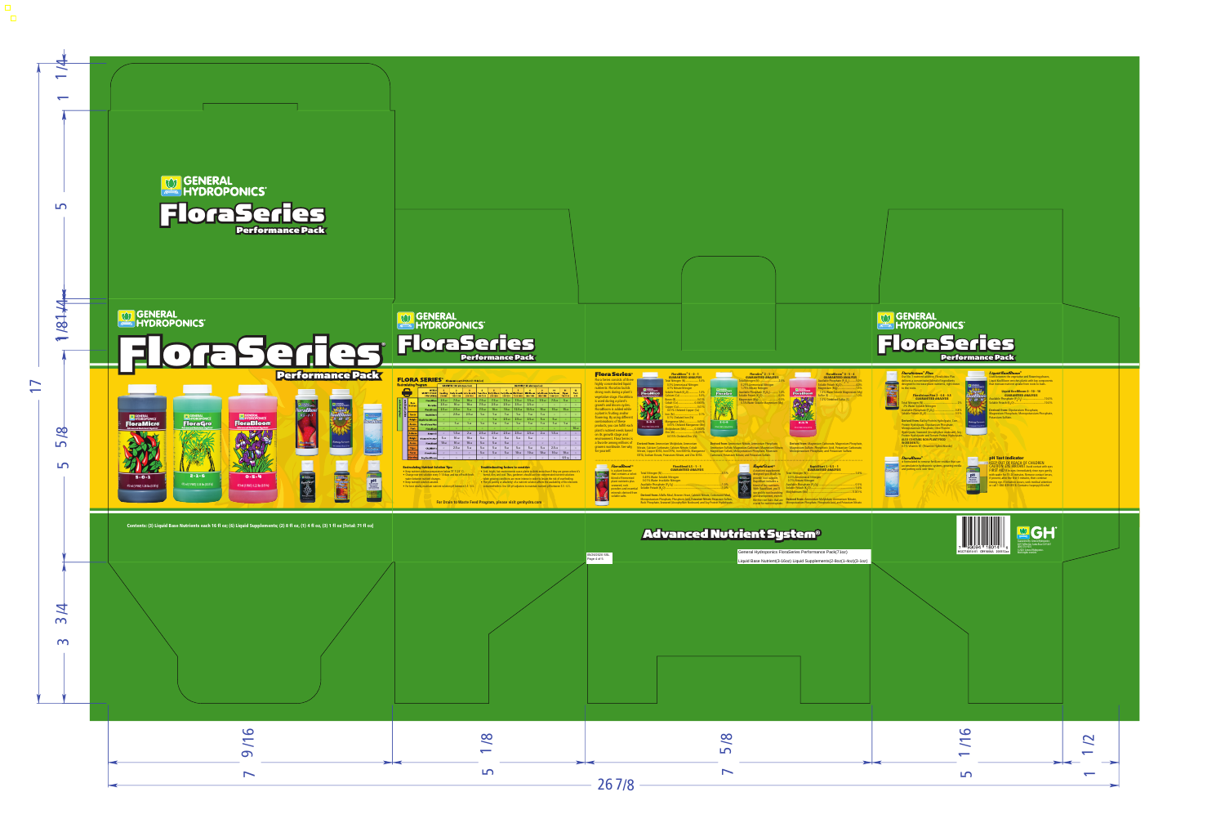#### Flora Series®

Flora Series consists of three highly concentrated liquid nutrients: FloraGro builds strong roots during a plant's vegetative stage. FloraMicro is used during a plant's growth and bloom cycles. FloraBloom is added while a plant is fruiting and/or flowering. By using different combinations of these products, you can fulfill each plant's nutrient needs based on its growth stage and environment. Flora Series is a favorite among millions of growers worldwide. See why for yourself.



#### FloraMicro® 5 - 0 - 1 GUARANTEED ANALYSIS

Total Nitrogen (N) .................. 5.0% 0.3% Ammoniacal Nitrogen 4.7% Nitrate Nitrogen Soluble Potash (K<sub>2</sub>O).............. 1.0% Calcium (Ca) .......................... 5.0% Boron (B).............................. 0.01% Cobalt (Co)....................... 0.0005% Copper (Cu).......................... 0.01% 0.01% Chelated Copper (Cu) Iron (Fe) ................................. 0.1% 0.1% Chelated Iron (Fe) Manganese (Mn).................. 0.05% 0.05% Chelated Manganese (Mn) Molybdenum (Mo) ........... 0.0008% Zinc (Zn)............................. 0.015% 0.015% Chelated Zinc (Zn)

**Derived from:** Ammonium Molybdate, Ammonium Nitrate, Calcium Carbonate, Calcium Nitrate, Cobalt Nitrate, Copper EDTA, Iron DTPA, Iron EDDHA, Manganese EDTA, Sodium Borate, Potassium Nitrate, and Zinc EDTA.

Magnesium Sulfate, Monopotassium Phosphate, Potassium

#### FloraGro® 2 - 1 - 6 GUARANTEED ANALYSIS

Total Nitrogen (N) .......................... 2.0% 0.25% Ammoniacal Nitrogen 1.75% Nitrate Nitrogen Available Phosphate (P<sub>2</sub>O<sub>c</sub>) .......... 1.0% Soluble Potash (K<sub>2</sub>O)............................. 6.0% Magnesium (Mg) ........................... 0.5% 0.5% Water Soluble Magnesium (Mg)



#### FloraBloom® 0 - 5 - 4 GUARANTEED ANALYSIS

| Available Phosphate $(P_2O_5)$ 5.0%   |  |
|---------------------------------------|--|
| Soluble Potash (K <sub>2</sub> O)4.0% |  |
| Magnesium (Mg) 1.5%                   |  |
| 1.5% Water Soluble Magnesium (Mg)     |  |
|                                       |  |
| 1.0% Combined Sulfur (S)              |  |

**Derived from:** Magnesium Carbonate, Magnesium Phosphate, Magnesium Sulfate, Phosphoric Acid, Potassium Carbonate, Monopotassium Phosphate, and Potassium Sulfate.

# **orafle**  $0.5 - 1 - 1$

05/26/2020 SSL Page 4 of 5

#### FloraBlend ®

#### is a plant booster that contains a select blend of fermented plant nutrients plus seaweed, rock powders and essential minerals derived from soluble salts.

#### FloraBlend 0.5 - 1 - 1 GUARANTEED ANALYSIS

| 0.49% Water Soluble Nitrogen   |  |
|--------------------------------|--|
| 0.01% Water Insoluble Nitrogen |  |
|                                |  |
|                                |  |
|                                |  |

**Derived from:** Alfalfa Meal, Brewers Yeast, Calcium Nitrate, Cottonseed Meal, Monopotassium Phosphate, Phosphoric Acid, Potassium Nitrate, Potassium Sulfate, Rock Phosphate, Seaweed (Ascophyllum Nodosum) and Soy Protein Hydrolysate.



**Derived from:** Ammonium Nitrate, Ammonium Phosphate, Ammonium Sulfate, Magnesium Carbonate, Magnesium Nitrate,

Carbonate, Potassium Nitrate, and Potassium Sulfate.

**FloraGro** 

 $2 - 1 - 6$ 

43 ml (1 PMT) 1.18 lbs (0.53 kg)

#### RapidStart® A nutrient supplement designed specifically to provide root support, RapidStart includes a

blend of key nutrients. With RapidStart, you'll see prolific root branching and development, even in the fine root hairs that are crucial for nutrient uptake.

#### RapidStart 1 - 0.5 - 1 GUARANTEED ANALYSIS

| 0.3% Ammoniacal Nitrogen |  |
|--------------------------|--|
| 0.7% Nitrate Nitrogen    |  |
|                          |  |
|                          |  |
|                          |  |

**Derived from:** Ammonium Molybdate, Ammonium Nitrate, Monopotassium Phosphate, Phosphoric Acid, and Potassium Nitrate.

### Advanced Nutrient System®

General Hydroponics FloraSeries Performance Pack(71oz)

Liquid Base Nutrient(3-16oz) Liquid Supplements(2-8oz(1-4oz)(3-1oz)